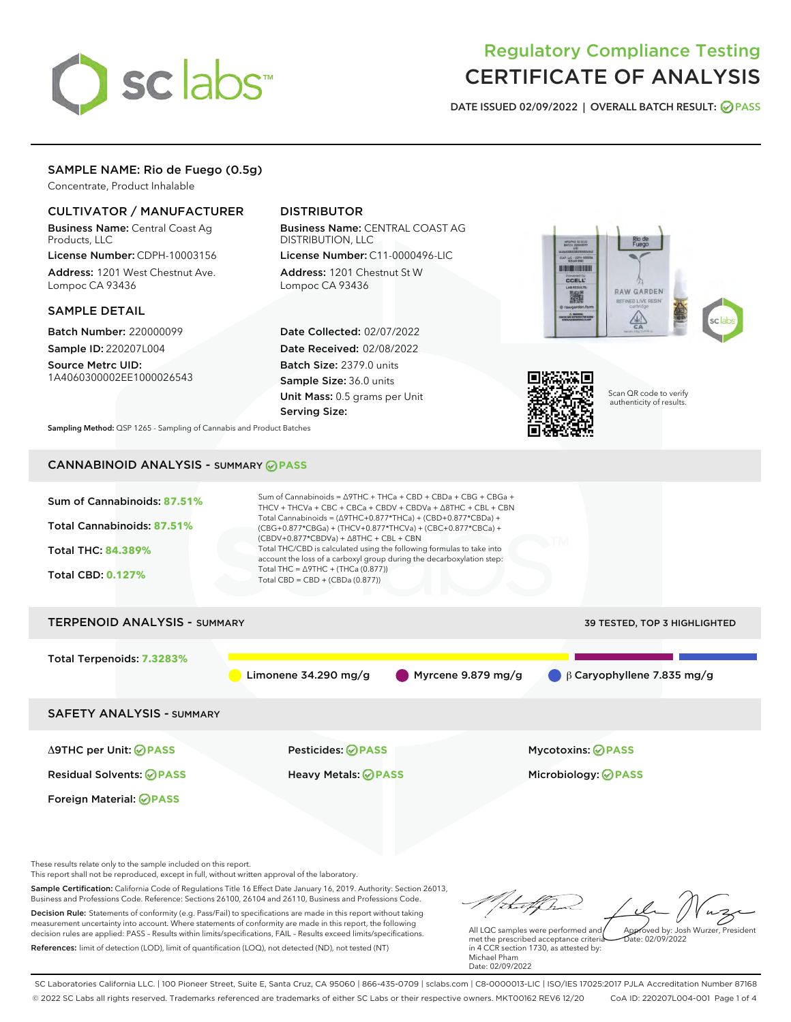

# Regulatory Compliance Testing CERTIFICATE OF ANALYSIS

DATE ISSUED 02/09/2022 | OVERALL BATCH RESULT: @ PASS

# SAMPLE NAME: Rio de Fuego (0.5g)

Concentrate, Product Inhalable

# CULTIVATOR / MANUFACTURER

Business Name: Central Coast Ag Products, LLC License Number: CDPH-10003156

Address: 1201 West Chestnut Ave. Lompoc CA 93436

### SAMPLE DETAIL

Batch Number: 220000099 Sample ID: 220207L004

Source Metrc UID: 1A4060300002EE1000026543

# DISTRIBUTOR

Business Name: CENTRAL COAST AG DISTRIBUTION, LLC License Number: C11-0000496-LIC

Address: 1201 Chestnut St W Lompoc CA 93436

Date Collected: 02/07/2022 Date Received: 02/08/2022 Batch Size: 2379.0 units Sample Size: 36.0 units Unit Mass: 0.5 grams per Unit Serving Size:





Scan QR code to verify authenticity of results.

Sampling Method: QSP 1265 - Sampling of Cannabis and Product Batches

# CANNABINOID ANALYSIS - SUMMARY **PASS**



These results relate only to the sample included on this report.

This report shall not be reproduced, except in full, without written approval of the laboratory.

Sample Certification: California Code of Regulations Title 16 Effect Date January 16, 2019. Authority: Section 26013, Business and Professions Code. Reference: Sections 26100, 26104 and 26110, Business and Professions Code. Decision Rule: Statements of conformity (e.g. Pass/Fail) to specifications are made in this report without taking measurement uncertainty into account. Where statements of conformity are made in this report, the following decision rules are applied: PASS – Results within limits/specifications, FAIL – Results exceed limits/specifications.

References: limit of detection (LOD), limit of quantification (LOQ), not detected (ND), not tested (NT)

tuf fra Approved by: Josh Wurzer, President

 $\frac{1}{2}$ ate: 02/09/2022

All LQC samples were performed and met the prescribed acceptance criteria in 4 CCR section 1730, as attested by: Michael Pham Date: 02/09/2022

SC Laboratories California LLC. | 100 Pioneer Street, Suite E, Santa Cruz, CA 95060 | 866-435-0709 | sclabs.com | C8-0000013-LIC | ISO/IES 17025:2017 PJLA Accreditation Number 87168 © 2022 SC Labs all rights reserved. Trademarks referenced are trademarks of either SC Labs or their respective owners. MKT00162 REV6 12/20 CoA ID: 220207L004-001 Page 1 of 4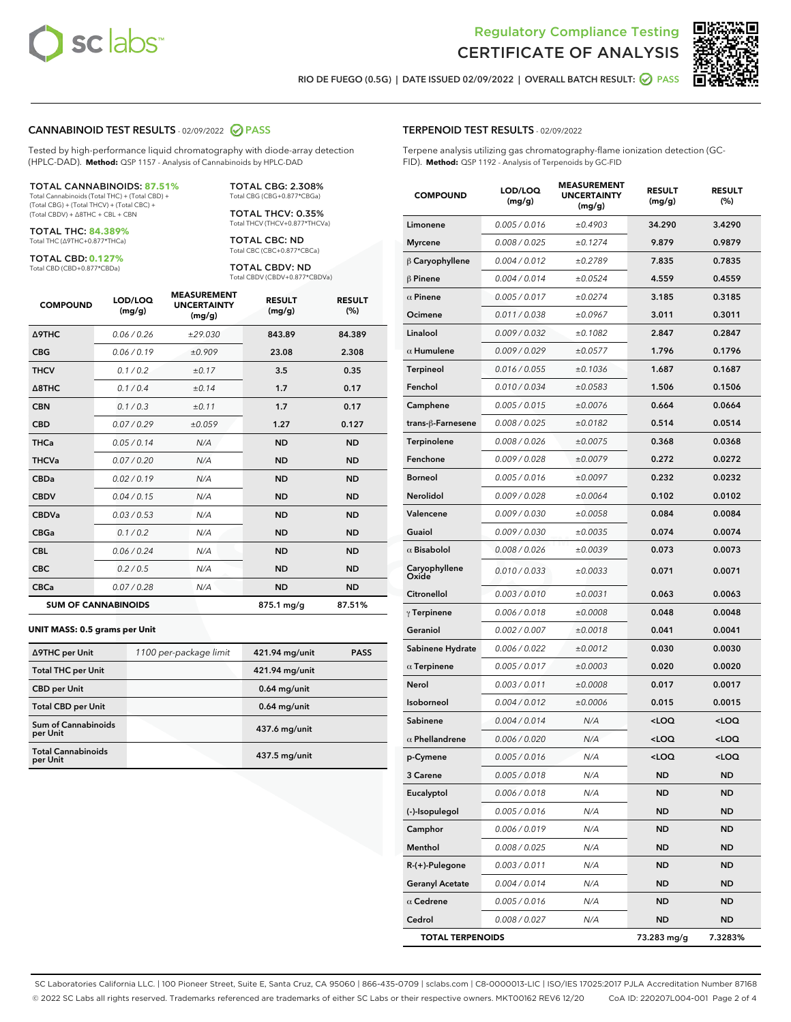



RIO DE FUEGO (0.5G) | DATE ISSUED 02/09/2022 | OVERALL BATCH RESULT:  $\bigcirc$  PASS

# CANNABINOID TEST RESULTS - 02/09/2022 2 PASS

Tested by high-performance liquid chromatography with diode-array detection (HPLC-DAD). **Method:** QSP 1157 - Analysis of Cannabinoids by HPLC-DAD

#### TOTAL CANNABINOIDS: **87.51%**

Total Cannabinoids (Total THC) + (Total CBD) + (Total CBG) + (Total THCV) + (Total CBC) + (Total CBDV) + ∆8THC + CBL + CBN

TOTAL THC: **84.389%** Total THC (∆9THC+0.877\*THCa)

TOTAL CBD: **0.127%**

Total CBD (CBD+0.877\*CBDa)

TOTAL CBG: 2.308% Total CBG (CBG+0.877\*CBGa)

TOTAL THCV: 0.35% Total THCV (THCV+0.877\*THCVa)

TOTAL CBC: ND Total CBC (CBC+0.877\*CBCa)

TOTAL CBDV: ND Total CBDV (CBDV+0.877\*CBDVa)

| <b>COMPOUND</b>  | LOD/LOQ<br>(mg/g)          | <b>MEASUREMENT</b><br><b>UNCERTAINTY</b><br>(mg/g) | <b>RESULT</b><br>(mg/g) | <b>RESULT</b><br>(%) |
|------------------|----------------------------|----------------------------------------------------|-------------------------|----------------------|
| <b>A9THC</b>     | 0.06 / 0.26                | ±29.030                                            | 843.89                  | 84.389               |
| <b>CBG</b>       | 0.06/0.19                  | ±0.909                                             | 23.08                   | 2.308                |
| <b>THCV</b>      | 0.1 / 0.2                  | ±0.17                                              | 3.5                     | 0.35                 |
| $\triangle$ 8THC | 0.1/0.4                    | ±0.14                                              | 1.7                     | 0.17                 |
| <b>CBN</b>       | 0.1 / 0.3                  | ±0.11                                              | 1.7                     | 0.17                 |
| <b>CBD</b>       | 0.07/0.29                  | ±0.059                                             | 1.27                    | 0.127                |
| <b>THCa</b>      | 0.05/0.14                  | N/A                                                | <b>ND</b>               | <b>ND</b>            |
| <b>THCVa</b>     | 0.07/0.20                  | N/A                                                | <b>ND</b>               | <b>ND</b>            |
| <b>CBDa</b>      | 0.02/0.19                  | N/A                                                | <b>ND</b>               | <b>ND</b>            |
| <b>CBDV</b>      | 0.04 / 0.15                | N/A                                                | <b>ND</b>               | <b>ND</b>            |
| <b>CBDVa</b>     | 0.03/0.53                  | N/A                                                | <b>ND</b>               | <b>ND</b>            |
| <b>CBGa</b>      | 0.1 / 0.2                  | N/A                                                | <b>ND</b>               | <b>ND</b>            |
| <b>CBL</b>       | 0.06 / 0.24                | N/A                                                | <b>ND</b>               | <b>ND</b>            |
| <b>CBC</b>       | 0.2 / 0.5                  | N/A                                                | <b>ND</b>               | <b>ND</b>            |
| <b>CBCa</b>      | 0.07 / 0.28                | N/A                                                | <b>ND</b>               | <b>ND</b>            |
|                  | <b>SUM OF CANNABINOIDS</b> |                                                    | 875.1 mg/g              | 87.51%               |

#### **UNIT MASS: 0.5 grams per Unit**

| ∆9THC per Unit                         | 1100 per-package limit | 421.94 mg/unit  | <b>PASS</b> |
|----------------------------------------|------------------------|-----------------|-------------|
| <b>Total THC per Unit</b>              |                        | 421.94 mg/unit  |             |
| <b>CBD</b> per Unit                    |                        | $0.64$ mg/unit  |             |
| <b>Total CBD per Unit</b>              |                        | $0.64$ mg/unit  |             |
| <b>Sum of Cannabinoids</b><br>per Unit |                        | 437.6 mg/unit   |             |
| <b>Total Cannabinoids</b><br>per Unit  |                        | $437.5$ mg/unit |             |

| <b>COMPOUND</b>         | LOD/LOQ<br>(mg/g) | ASUKEIVI<br><b>UNCERTAINTY</b><br>(mg/g) | <b>RESULT</b><br>(mg/g)                         | <b>RESULT</b><br>$(\%)$ |
|-------------------------|-------------------|------------------------------------------|-------------------------------------------------|-------------------------|
| Limonene                | 0.005 / 0.016     | ±0.4903                                  | 34.290                                          | 3.4290                  |
| <b>Myrcene</b>          | 0.008 / 0.025     | ±0.1274                                  | 9.879                                           | 0.9879                  |
| $\beta$ Caryophyllene   | 0.004 / 0.012     | ±0.2789                                  | 7.835                                           | 0.7835                  |
| $\beta$ Pinene          | 0.004 / 0.014     | ±0.0524                                  | 4.559                                           | 0.4559                  |
| $\alpha$ Pinene         | 0.005 / 0.017     | ±0.0274                                  | 3.185                                           | 0.3185                  |
| Ocimene                 | 0.011 / 0.038     | ±0.0967                                  | 3.011                                           | 0.3011                  |
| Linalool                | 0.009 / 0.032     | ±0.1082                                  | 2.847                                           | 0.2847                  |
| $\alpha$ Humulene       | 0.009/0.029       | ±0.0577                                  | 1.796                                           | 0.1796                  |
| Terpineol               | 0.016 / 0.055     | ±0.1036                                  | 1.687                                           | 0.1687                  |
| Fenchol                 | 0.010 / 0.034     | ±0.0583                                  | 1.506                                           | 0.1506                  |
| Camphene                | 0.005 / 0.015     | ±0.0076                                  | 0.664                                           | 0.0664                  |
| trans-β-Farnesene       | 0.008 / 0.025     | ±0.0182                                  | 0.514                                           | 0.0514                  |
| Terpinolene             | 0.008 / 0.026     | ±0.0075                                  | 0.368                                           | 0.0368                  |
| Fenchone                | 0.009 / 0.028     | ±0.0079                                  | 0.272                                           | 0.0272                  |
| <b>Borneol</b>          | 0.005 / 0.016     | ±0.0097                                  | 0.232                                           | 0.0232                  |
| <b>Nerolidol</b>        | 0.009/0.028       | ±0.0064                                  | 0.102                                           | 0.0102                  |
| Valencene               | 0.009 / 0.030     | ±0.0058                                  | 0.084                                           | 0.0084                  |
| Guaiol                  | 0.009 / 0.030     | ±0.0035                                  | 0.074                                           | 0.0074                  |
| $\alpha$ Bisabolol      | 0.008 / 0.026     | ±0.0039                                  | 0.073                                           | 0.0073                  |
| Caryophyllene<br>Oxide  | 0.010 / 0.033     | ±0.0033                                  | 0.071                                           | 0.0071                  |
| Citronellol             | 0.003 / 0.010     | ±0.0031                                  | 0.063                                           | 0.0063                  |
| $\gamma$ Terpinene      | 0.006 / 0.018     | ±0.0008                                  | 0.048                                           | 0.0048                  |
| Geraniol                | 0.002 / 0.007     | ±0.0018                                  | 0.041                                           | 0.0041                  |
| Sabinene Hydrate        | 0.006 / 0.022     | ±0.0012                                  | 0.030                                           | 0.0030                  |
| $\alpha$ Terpinene      | 0.005 / 0.017     | ±0.0003                                  | 0.020                                           | 0.0020                  |
| Nerol                   | 0.003 / 0.011     | ±0.0008                                  | 0.017                                           | 0.0017                  |
| Isoborneol              | 0.004 / 0.012     | ±0.0006                                  | 0.015                                           | 0.0015                  |
| Sabinene                | 0.004 / 0.014     | N/A                                      | <loq< th=""><th><loq< th=""></loq<></th></loq<> | <loq< th=""></loq<>     |
| $\alpha$ Phellandrene   | 0.006 / 0.020     | N/A                                      | <loq< th=""><th><loq< th=""></loq<></th></loq<> | <loq< th=""></loq<>     |
| p-Cymene                | 0.005 / 0.016     | N/A                                      | <loq< th=""><th><loq< th=""></loq<></th></loq<> | <loq< th=""></loq<>     |
| 3 Carene                | 0.005 / 0.018     | N/A                                      | ND                                              | ND                      |
| Eucalyptol              | 0.006 / 0.018     | N/A                                      | ND                                              | ND                      |
| (-)-Isopulegol          | 0.005 / 0.016     | N/A                                      | ND                                              | <b>ND</b>               |
| Camphor                 | 0.006 / 0.019     | N/A                                      | ND                                              | ND                      |
| Menthol                 | 0.008 / 0.025     | N/A                                      | ND                                              | ND                      |
| R-(+)-Pulegone          | 0.003 / 0.011     | N/A                                      | <b>ND</b>                                       | <b>ND</b>               |
| <b>Geranyl Acetate</b>  | 0.004 / 0.014     | N/A                                      | ND                                              | ND                      |
| $\alpha$ Cedrene        | 0.005 / 0.016     | N/A                                      | ND                                              | ND                      |
| Cedrol                  | 0.008 / 0.027     | N/A                                      | ND                                              | ND                      |
| <b>TOTAL TERPENOIDS</b> |                   |                                          | 73.283 mg/g                                     | 7.3283%                 |

SC Laboratories California LLC. | 100 Pioneer Street, Suite E, Santa Cruz, CA 95060 | 866-435-0709 | sclabs.com | C8-0000013-LIC | ISO/IES 17025:2017 PJLA Accreditation Number 87168 © 2022 SC Labs all rights reserved. Trademarks referenced are trademarks of either SC Labs or their respective owners. MKT00162 REV6 12/20 CoA ID: 220207L004-001 Page 2 of 4

# TERPENOID TEST RESULTS - 02/09/2022

Terpene analysis utilizing gas chromatography-flame ionization detection (GC-FID). **Method:** QSP 1192 - Analysis of Terpenoids by GC-FID

MEASUREMENT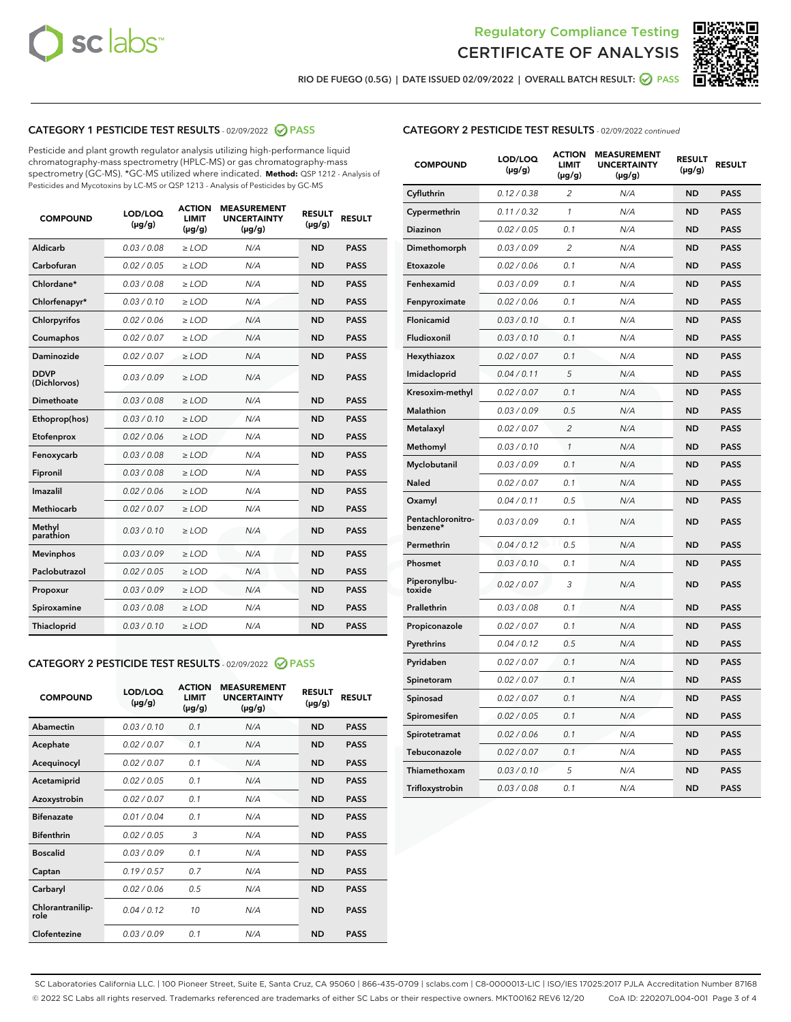



RIO DE FUEGO (0.5G) | DATE ISSUED 02/09/2022 | OVERALL BATCH RESULT:  $\bigotimes$  PASS

# CATEGORY 1 PESTICIDE TEST RESULTS - 02/09/2022 2 PASS

Pesticide and plant growth regulator analysis utilizing high-performance liquid chromatography-mass spectrometry (HPLC-MS) or gas chromatography-mass spectrometry (GC-MS). \*GC-MS utilized where indicated. **Method:** QSP 1212 - Analysis of Pesticides and Mycotoxins by LC-MS or QSP 1213 - Analysis of Pesticides by GC-MS

| <b>COMPOUND</b>             | LOD/LOQ<br>$(\mu g/g)$ | <b>ACTION</b><br>LIMIT<br>$(\mu g/g)$ | <b>MEASUREMENT</b><br><b>UNCERTAINTY</b><br>$(\mu g/g)$ | <b>RESULT</b><br>$(\mu g/g)$ | <b>RESULT</b> |
|-----------------------------|------------------------|---------------------------------------|---------------------------------------------------------|------------------------------|---------------|
| Aldicarb                    | 0.03/0.08              | $>$ LOD                               | N/A                                                     | <b>ND</b>                    | <b>PASS</b>   |
| Carbofuran                  | 0.02 / 0.05            | ≥ LOD                                 | N/A                                                     | <b>ND</b>                    | <b>PASS</b>   |
| Chlordane*                  | 0.03 / 0.08            | $\ge$ LOD                             | N/A                                                     | <b>ND</b>                    | <b>PASS</b>   |
| Chlorfenapyr*               | 0.03/0.10              | $>$ LOD                               | N/A                                                     | <b>ND</b>                    | <b>PASS</b>   |
| Chlorpyrifos                | 0.02 / 0.06            | $\ge$ LOD                             | N/A                                                     | <b>ND</b>                    | <b>PASS</b>   |
| Coumaphos                   | 0.02 / 0.07            | $\geq$ LOD                            | N/A                                                     | <b>ND</b>                    | <b>PASS</b>   |
| Daminozide                  | 0.02 / 0.07            | $>$ LOD                               | N/A                                                     | <b>ND</b>                    | <b>PASS</b>   |
| <b>DDVP</b><br>(Dichlorvos) | 0.03/0.09              | $\geq$ LOD                            | N/A                                                     | <b>ND</b>                    | <b>PASS</b>   |
| <b>Dimethoate</b>           | 0.03 / 0.08            | $\geq$ LOD                            | N/A                                                     | <b>ND</b>                    | <b>PASS</b>   |
| Ethoprop(hos)               | 0.03/0.10              | $>$ LOD                               | N/A                                                     | <b>ND</b>                    | <b>PASS</b>   |
| Etofenprox                  | 0.02 / 0.06            | $\ge$ LOD                             | N/A                                                     | <b>ND</b>                    | <b>PASS</b>   |
| Fenoxycarb                  | 0.03 / 0.08            | $\geq$ LOD                            | N/A                                                     | <b>ND</b>                    | <b>PASS</b>   |
| Fipronil                    | 0.03 / 0.08            | $\geq$ LOD                            | N/A                                                     | <b>ND</b>                    | <b>PASS</b>   |
| Imazalil                    | 0.02 / 0.06            | $\geq$ LOD                            | N/A                                                     | <b>ND</b>                    | <b>PASS</b>   |
| Methiocarb                  | 0.02 / 0.07            | $>$ LOD                               | N/A                                                     | <b>ND</b>                    | <b>PASS</b>   |
| Methyl<br>parathion         | 0.03/0.10              | > LOD                                 | N/A                                                     | <b>ND</b>                    | <b>PASS</b>   |
| <b>Mevinphos</b>            | 0.03/0.09              | $\geq$ LOD                            | N/A                                                     | <b>ND</b>                    | <b>PASS</b>   |
| Paclobutrazol               | 0.02 / 0.05            | $>$ LOD                               | N/A                                                     | <b>ND</b>                    | <b>PASS</b>   |
| Propoxur                    | 0.03/0.09              | $\ge$ LOD                             | N/A                                                     | <b>ND</b>                    | <b>PASS</b>   |
| Spiroxamine                 | 0.03 / 0.08            | $\geq$ LOD                            | N/A                                                     | <b>ND</b>                    | <b>PASS</b>   |
| Thiacloprid                 | 0.03/0.10              | $\geq$ LOD                            | N/A                                                     | <b>ND</b>                    | <b>PASS</b>   |

### CATEGORY 2 PESTICIDE TEST RESULTS - 02/09/2022 2 PASS

| <b>COMPOUND</b>          | LOD/LOO<br>$(\mu g/g)$ | <b>ACTION</b><br>LIMIT<br>$(\mu g/g)$ | <b>MEASUREMENT</b><br><b>UNCERTAINTY</b><br>$(\mu g/g)$ | <b>RESULT</b><br>$(\mu g/g)$ | <b>RESULT</b> |
|--------------------------|------------------------|---------------------------------------|---------------------------------------------------------|------------------------------|---------------|
| Abamectin                | 0.03/0.10              | 0.1                                   | N/A                                                     | <b>ND</b>                    | <b>PASS</b>   |
| Acephate                 | 0.02/0.07              | 0.1                                   | N/A                                                     | <b>ND</b>                    | <b>PASS</b>   |
| Acequinocyl              | 0.02/0.07              | 0.1                                   | N/A                                                     | <b>ND</b>                    | <b>PASS</b>   |
| Acetamiprid              | 0.02/0.05              | 0.1                                   | N/A                                                     | <b>ND</b>                    | <b>PASS</b>   |
| Azoxystrobin             | 0.02/0.07              | 0.1                                   | N/A                                                     | <b>ND</b>                    | <b>PASS</b>   |
| <b>Bifenazate</b>        | 0.01/0.04              | 0.1                                   | N/A                                                     | <b>ND</b>                    | <b>PASS</b>   |
| <b>Bifenthrin</b>        | 0.02 / 0.05            | 3                                     | N/A                                                     | <b>ND</b>                    | <b>PASS</b>   |
| <b>Boscalid</b>          | 0.03/0.09              | 0.1                                   | N/A                                                     | <b>ND</b>                    | <b>PASS</b>   |
| Captan                   | 0.19/0.57              | 0.7                                   | N/A                                                     | <b>ND</b>                    | <b>PASS</b>   |
| Carbaryl                 | 0.02/0.06              | 0.5                                   | N/A                                                     | <b>ND</b>                    | <b>PASS</b>   |
| Chlorantranilip-<br>role | 0.04/0.12              | 10                                    | N/A                                                     | <b>ND</b>                    | <b>PASS</b>   |
| Clofentezine             | 0.03/0.09              | 0.1                                   | N/A                                                     | <b>ND</b>                    | <b>PASS</b>   |

| <b>COMPOUND</b>               | LOD/LOQ<br>$(\mu g/g)$ | <b>ACTION</b><br>LIMIT<br>(µg/g) | <b>MEASUREMENT</b><br><b>UNCERTAINTY</b><br>(µg/g) | <b>RESULT</b><br>$(\mu g/g)$ | <b>RESULT</b> |
|-------------------------------|------------------------|----------------------------------|----------------------------------------------------|------------------------------|---------------|
| Cyfluthrin                    | 0.12 / 0.38            | $\overline{c}$                   | N/A                                                | <b>ND</b>                    | <b>PASS</b>   |
| Cypermethrin                  | 0.11 / 0.32            | 1                                | N/A                                                | <b>ND</b>                    | <b>PASS</b>   |
| Diazinon                      | 0.02 / 0.05            | 0.1                              | N/A                                                | <b>ND</b>                    | <b>PASS</b>   |
| Dimethomorph                  | 0.03 / 0.09            | 2                                | N/A                                                | <b>ND</b>                    | <b>PASS</b>   |
| Etoxazole                     | 0.02 / 0.06            | 0.1                              | N/A                                                | <b>ND</b>                    | <b>PASS</b>   |
| Fenhexamid                    | 0.03 / 0.09            | 0.1                              | N/A                                                | <b>ND</b>                    | <b>PASS</b>   |
| Fenpyroximate                 | 0.02 / 0.06            | 0.1                              | N/A                                                | <b>ND</b>                    | <b>PASS</b>   |
| Flonicamid                    | 0.03 / 0.10            | 0.1                              | N/A                                                | <b>ND</b>                    | <b>PASS</b>   |
| Fludioxonil                   | 0.03 / 0.10            | 0.1                              | N/A                                                | <b>ND</b>                    | <b>PASS</b>   |
| Hexythiazox                   | 0.02 / 0.07            | 0.1                              | N/A                                                | <b>ND</b>                    | <b>PASS</b>   |
| Imidacloprid                  | 0.04 / 0.11            | 5                                | N/A                                                | <b>ND</b>                    | <b>PASS</b>   |
| Kresoxim-methyl               | 0.02 / 0.07            | 0.1                              | N/A                                                | <b>ND</b>                    | <b>PASS</b>   |
| <b>Malathion</b>              | 0.03 / 0.09            | 0.5                              | N/A                                                | <b>ND</b>                    | <b>PASS</b>   |
| Metalaxyl                     | 0.02 / 0.07            | $\overline{c}$                   | N/A                                                | <b>ND</b>                    | <b>PASS</b>   |
| Methomyl                      | 0.03 / 0.10            | $\mathcal{I}$                    | N/A                                                | <b>ND</b>                    | <b>PASS</b>   |
| Myclobutanil                  | 0.03/0.09              | 0.1                              | N/A                                                | <b>ND</b>                    | <b>PASS</b>   |
| Naled                         | 0.02 / 0.07            | 0.1                              | N/A                                                | <b>ND</b>                    | <b>PASS</b>   |
| Oxamyl                        | 0.04 / 0.11            | 0.5                              | N/A                                                | <b>ND</b>                    | <b>PASS</b>   |
| Pentachloronitro-<br>benzene* | 0.03 / 0.09            | 0.1                              | N/A                                                | <b>ND</b>                    | <b>PASS</b>   |
| Permethrin                    | 0.04 / 0.12            | 0.5                              | N/A                                                | <b>ND</b>                    | <b>PASS</b>   |
| Phosmet                       | 0.03 / 0.10            | 0.1                              | N/A                                                | <b>ND</b>                    | <b>PASS</b>   |
| Piperonylbu-<br>toxide        | 0.02 / 0.07            | 3                                | N/A                                                | <b>ND</b>                    | <b>PASS</b>   |
| Prallethrin                   | 0.03 / 0.08            | 0.1                              | N/A                                                | <b>ND</b>                    | <b>PASS</b>   |
| Propiconazole                 | 0.02 / 0.07            | 0.1                              | N/A                                                | <b>ND</b>                    | <b>PASS</b>   |
| Pyrethrins                    | 0.04 / 0.12            | 0.5                              | N/A                                                | <b>ND</b>                    | <b>PASS</b>   |
| Pyridaben                     | 0.02 / 0.07            | 0.1                              | N/A                                                | <b>ND</b>                    | <b>PASS</b>   |
| Spinetoram                    | 0.02 / 0.07            | 0.1                              | N/A                                                | <b>ND</b>                    | <b>PASS</b>   |
| Spinosad                      | 0.02 / 0.07            | 0.1                              | N/A                                                | <b>ND</b>                    | <b>PASS</b>   |
| Spiromesifen                  | 0.02 / 0.05            | 0.1                              | N/A                                                | <b>ND</b>                    | <b>PASS</b>   |
| Spirotetramat                 | 0.02 / 0.06            | 0.1                              | N/A                                                | ND                           | <b>PASS</b>   |
| Tebuconazole                  | 0.02 / 0.07            | 0.1                              | N/A                                                | <b>ND</b>                    | <b>PASS</b>   |
| Thiamethoxam                  | 0.03 / 0.10            | 5                                | N/A                                                | <b>ND</b>                    | <b>PASS</b>   |
| Trifloxystrobin               | 0.03 / 0.08            | 0.1                              | N/A                                                | ND                           | <b>PASS</b>   |

SC Laboratories California LLC. | 100 Pioneer Street, Suite E, Santa Cruz, CA 95060 | 866-435-0709 | sclabs.com | C8-0000013-LIC | ISO/IES 17025:2017 PJLA Accreditation Number 87168 © 2022 SC Labs all rights reserved. Trademarks referenced are trademarks of either SC Labs or their respective owners. MKT00162 REV6 12/20 CoA ID: 220207L004-001 Page 3 of 4